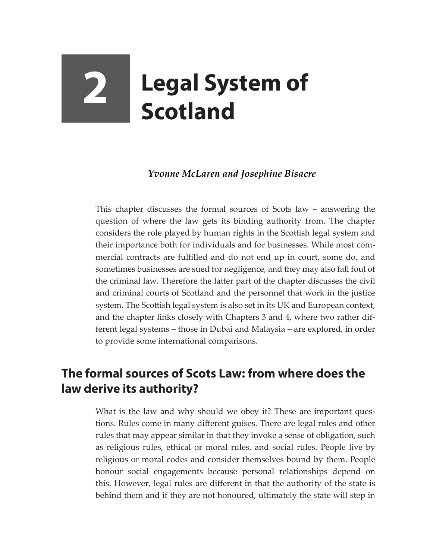## **2 Legal System of Scotland**

## *Yvonne McLaren and Josephine Bisacre*

This chapter discusses the formal sources of Scots law – answering the question of where the law gets its binding authority from. The chapter considers the role played by human rights in the Scottish legal system and their importance both for individuals and for businesses. While most commercial contracts are fulfilled and do not end up in court, some do, and sometimes businesses are sued for negligence, and they may also fall foul of the criminal law. Therefore the latter part of the chapter discusses the civil and criminal courts of Scotland and the personnel that work in the justice system. The Scottish legal system is also set in its UK and European context, and the chapter links closely with Chapters 3 and 4, where two rather different legal systems – those in Dubai and Malaysia – are explored, in order to provide some international comparisons.

## **The formal sources of Scots Law: from where does the law derive its authority?**

What is the law and why should we obey it? These are important questions. Rules come in many different guises. There are legal rules and other rules that may appear similar in that they invoke a sense of obligation, such as religious rules, ethical or moral rules, and social rules. People live by religious or moral codes and consider themselves bound by them. People honour social engagements because personal relationships depend on this. However, legal rules are different in that the authority of the state is behind them and if they are not honoured, ultimately the state will step in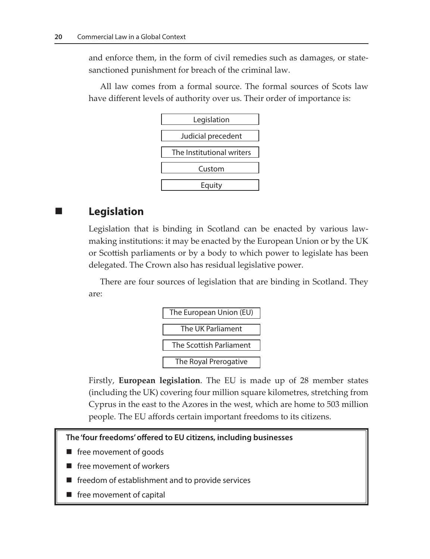and enforce them, in the form of civil remedies such as damages, or statesanctioned punishment for breach of the criminal law.

All law comes from a formal source. The formal sources of Scots law have different levels of authority over us. Their order of importance is:



## **Legislation**

Legislation that is binding in Scotland can be enacted by various lawmaking institutions: it may be enacted by the European Union or by the UK or Scottish parliaments or by a body to which power to legislate has been delegated. The Crown also has residual legislative power.

There are four sources of legislation that are binding in Scotland. They are:



Firstly, **European legislation**. The EU is made up of 28 member states (including the UK) covering four million square kilometres, stretching from Cyprus in the east to the Azores in the west, which are home to 503 million people. The EU affords certain important freedoms to its citizens.

**The 'four freedoms' offered to EU citizens, including businesses**

- free movement of goods
- $\blacksquare$  free movement of workers
- freedom of establishment and to provide services
- free movement of capital